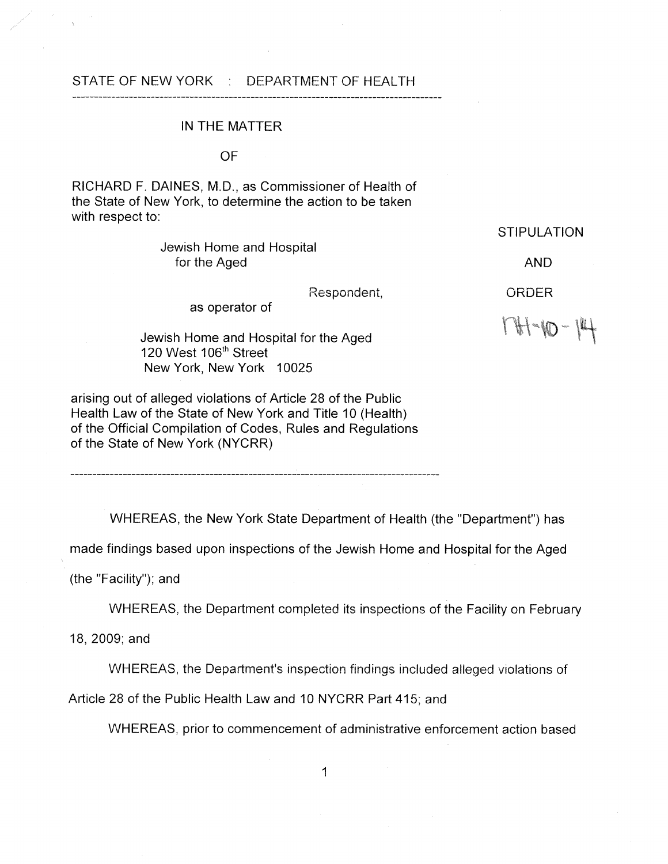### STATE OF NEW YORK : DEPARTMENT OF HEALTH

#### IN THE MATTER

OF

RICHARD F. DAINES, M.D., as Commissioner of Health of the State of New York, to determine the action to be taken with respect to:

> Jewish Home and Hospital for the Aged

> > Respondent,

as operator of

Jewish Home and Hospital for the Aged 120 West 106<sup>th</sup> Street New York, New York 10025

arising out of alleged violations of Article 28 of the Public Health Law of the State of New York and Title 10 (Health) of the Official Compilation of Codes, Rules and Regulations of the State of New York (NYCRR)

**STIPULATION** 

AND

ORDER

 $174 - 10 - 14$ 

WHEREAS, the New York State Department of Health (the "Department") has

made findings based upon inspections of the Jewish Home and Hospital for the Aged

(the "Facility"); and

WHEREAS, the Department completed its inspections of the Facility on February

18, 2009; and

WHEREAS, the Department's inspection findings included alleged violations of

Article 28 of the Public Health Law and 10 NYCRR Part 415; and

WHEREAS, prior to commencement of administrative enforcement action based

1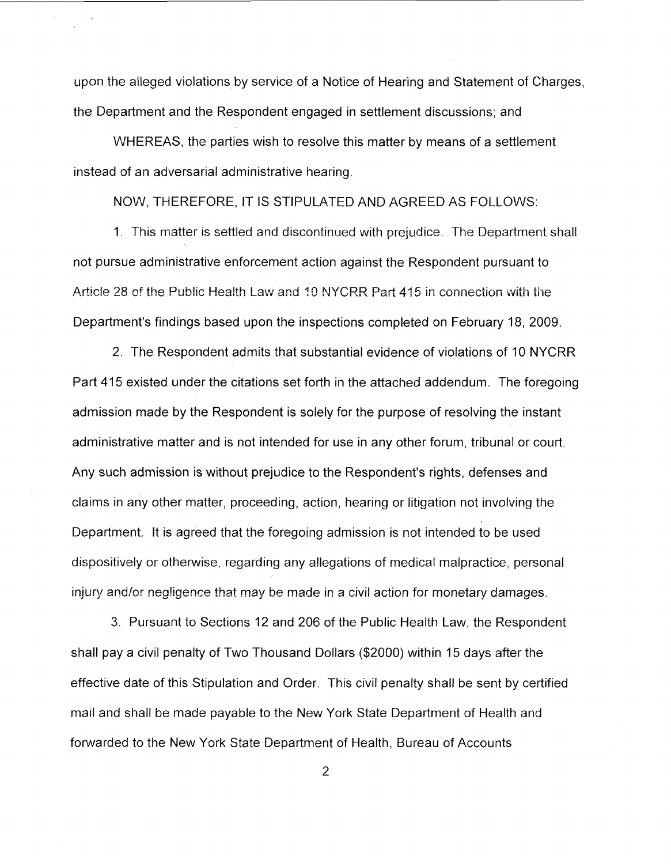upon the alleged violations by service of a Notice of Hearing and Statement of Charges, the Department and the Respondent engaged in settlement discussions; and

WHEREAS, the parties wish to resolve this matter by means of a settlement instead of an adversarial administrative hearing.

NOW, THEREFORE, IT IS STIPULATED AND AGREED AS FOLLOWS:

1. This matter is settled and discontinued with prejudice. The Department shall not pursue administrative enforcement action against the Respondent pursuant to Article 28 of the Public Health Law and 10 NYCRR Part 415 in connection with the Department's findings based upon the inspections completed on February 18, 2009.

2. The Respondent admits that substantial evidence of violations of 10 NYCRR Part 415 existed under the citations set forth in the attached addendum. The foregoing admission made by the Respondent is solely for the purpose of resolving the instant administrative matter and is not intended for use in any other forum, tribunal or court. Any such admission is without prejudice to the Respondent's rights, defenses and claims in any other matter, proceeding, action, hearing or litigation not involving the Department. It is agreed that the foregoing admission is not intended to be used dispositively or otherwise, regarding any allegations of medical malpractice, personal injury and/or negligence that may be made in a civil action for monetary damages.

3. Pursuant to Sections 12 and 206 of the Public Health Law, the Respondent shall pay a civil penalty of Two Thousand Dollars (\$2000) within 15 days after the effective date of this Stipulation and Order. This civil penalty shall be sent by certified mail and shall be made payable to the New York State Department of Health and forwarded to the New York State Department of Health, Bureau of Accounts

2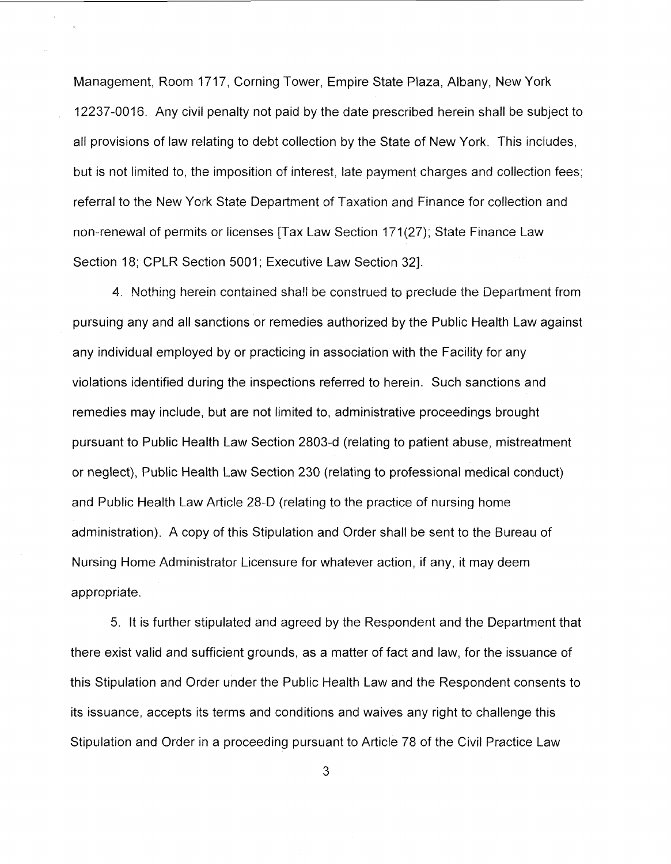Management, Room 1717, Corning Tower, Empire State Plaza, Albany, New York 12237-0016. Any civil penalty not paid by the date prescribed herein shall be subject to all provisions of law relating to debt collection by the State of New York. This includes, but is not limited to, the imposition of interest, late payment charges and collection fees; referral to the New York State Department of Taxation and Finance for collection and non-renewal of permits or licenses [Tax Law Section 171(27); State Finance Law Section 18; CPLR Section 5001; Executive Law Section 321.

4. Nothing herein contained shall be construed to preclude the Department from pursuing any and all sanctions or remedies authorized by the Public Health Law against any individual employed by or practicing in association with the Facility for any violations identified during the inspections referred to herein. Such sanctions and remedies may include, but are not limited to, administrative proceedings brought pursuant to Public Health Law Section 2803-d (relating to patient abuse, mistreatment or neglect), Public Health Law Section 230 (relating to professional medical conduct) and Public Health Law Article 28-D (relating to the practice of nursing home administration). A copy of this Stipulation and Order shall be sent to the Bureau of Nursing Home Administrator Licensure for whatever action, if any, it may deem appropriate.

5. It is further stipulated and agreed by the Respondent and the Department that there exist valid and sufficient grounds, as a matter of fact and law, for the issuance of this Stipulation and Order under the Public Health Law and the Respondent consents to its issuance, accepts its terms and conditions and waives any right to challenge this Stipulation and Order in a proceeding pursuant to Article 78 of the Civil Practice Law

**3**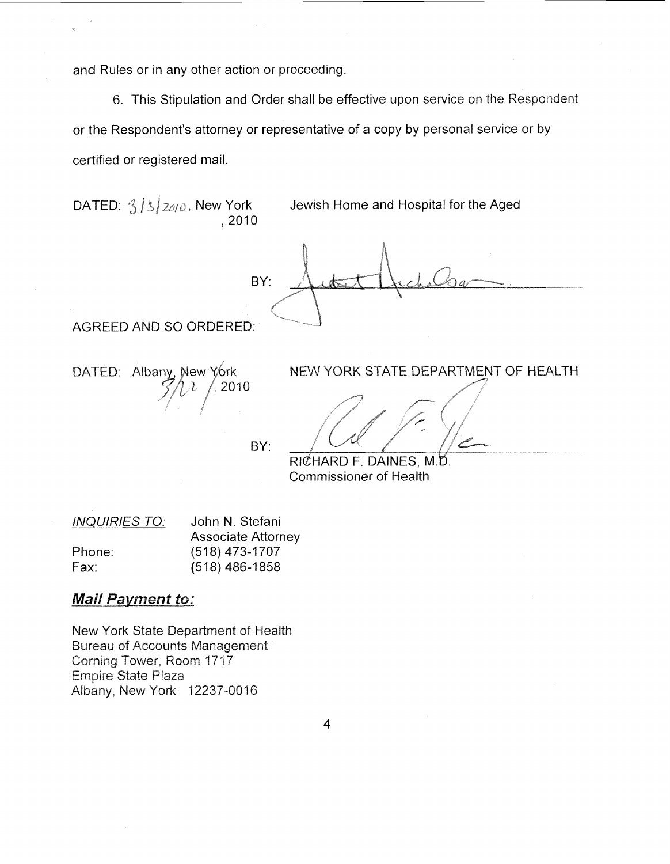and Rules or in any other action or proceeding.

6. This Stipulation and Order shall be effective upon service on the Respondent or the Respondent's attorney or representative of a copy by personal service or by certified or registered mail.

DATED:  $3/3/2010$ , New York Jewish Home and Hospital for the Aged ,2010 BY: AGREED AND SO ORDERED: DATED: Albany, New York NEW YORK STATE DEPARTMENT OF HEALTH  $, 2010$ BY: RICHARD F. DAINES, M.D. Commissioner of Health

| <b>INQUIRIES TO:</b> | John N. Stefani           |
|----------------------|---------------------------|
|                      | <b>Associate Attorney</b> |
| Phone:               | $(518)$ 473-1707          |
| Fax:                 | $(518)$ 486-1858          |

## **Mail Payment to:**

New York State Department of Health Bureau of Accounts Management Corning Tower, Room 1717 **Empire State Plaza** Albany, New York 12237-00'16